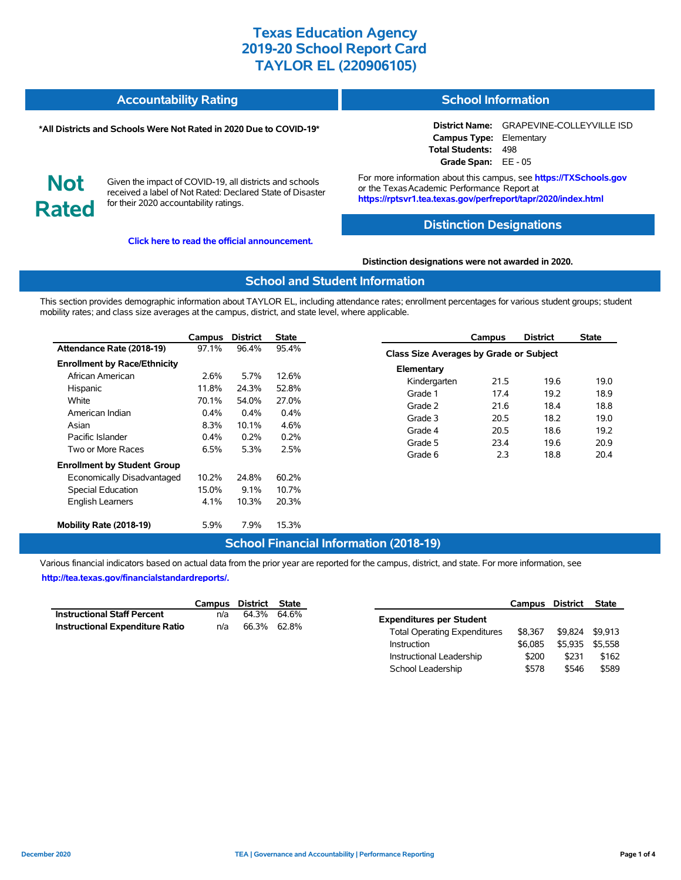| <b>Accountability Rating</b> | <b>School Information</b> |
|------------------------------|---------------------------|
|                              |                           |

#### **\*All Districts and Schools Were Not Rated in 2020 Due to COVID-19\***

# **Not Rated**

Given the impact of COVID-19, all districts and schools received a label of Not Rated: Declared State of Disaster for their 2020 accountability ratings.

**[Click here to read the official announcement.](https://tea.texas.gov/about-tea/news-and-multimedia/correspondence/taa-letters/every-student-succeeds-act-essa-waiver-approval-2020-state-academic-accountability)**

**District Name:** GRAPEVINE-COLLEYVILLE ISD **Campus Type:** Elementary **Total Students:** 498 **Grade Span:** EE - 05

For more information about this campus, see **https://TXSchools.gov** or the Texas Academic Performance Report at **https://rptsvr1.tea.texas.gov/perfreport/tapr/2020/index.html**

### **Distinction Designations**

**Distinction designations were not awarded in 2020.**

### **School and Student Information**

This section provides demographic information about TAYLOR EL, including attendance rates; enrollment percentages for various student groups; student mobility rates; and class size averages at the campus, district, and state level, where applicable.

|                                     | Campus  | <b>District</b> | State   |
|-------------------------------------|---------|-----------------|---------|
| Attendance Rate (2018-19)           | 97.1%   | 96.4%           | 95.4%   |
| <b>Enrollment by Race/Ethnicity</b> |         |                 |         |
| African American                    | 2.6%    | 5.7%            | 12.6%   |
| Hispanic                            | 11.8%   | 24.3%           | 52.8%   |
| White                               | 70.1%   | 54.0%           | 27.0%   |
| American Indian                     | $0.4\%$ | $0.4\%$         | $0.4\%$ |
| Asian                               | 8.3%    | 10.1%           | 4.6%    |
| Pacific Islander                    | $0.4\%$ | $0.2\%$         | 0.2%    |
| Two or More Races                   | 6.5%    | 5.3%            | 2.5%    |
| <b>Enrollment by Student Group</b>  |         |                 |         |
| Economically Disadvantaged          | 10.2%   | 24.8%           | 60.2%   |
| <b>Special Education</b>            | 15.0%   | $9.1\%$         | 10.7%   |
| <b>English Learners</b>             | 4.1%    | 10.3%           | 20.3%   |
| Mobility Rate (2018-19)             | 5.9%    | 7.9%            | 15.3%   |

|                                                | Campus | <b>District</b> | <b>State</b> |  |  |  |  |  |  |
|------------------------------------------------|--------|-----------------|--------------|--|--|--|--|--|--|
| <b>Class Size Averages by Grade or Subject</b> |        |                 |              |  |  |  |  |  |  |
| Elementary                                     |        |                 |              |  |  |  |  |  |  |
| Kindergarten                                   | 21.5   | 19.6            | 19.0         |  |  |  |  |  |  |
| Grade 1                                        | 17.4   | 19.2            | 18.9         |  |  |  |  |  |  |
| Grade 2                                        | 21.6   | 18.4            | 18.8         |  |  |  |  |  |  |
| Grade 3                                        | 20.5   | 18.2            | 19.0         |  |  |  |  |  |  |
| Grade 4                                        | 20.5   | 18.6            | 19.2         |  |  |  |  |  |  |
| Grade 5                                        | 23.4   | 19.6            | 20.9         |  |  |  |  |  |  |
| Grade 6                                        | 2.3    | 18.8            | 20.4         |  |  |  |  |  |  |

### **School Financial Information (2018-19)**

Various financial indicators based on actual data from the prior year are reported for the campus, district, and state. For more information, see **[http://tea.texas.gov/financialstandardreports/.](http://tea.texas.gov/financialstandardreports/)**

|                                        | Campus District State |             |  |
|----------------------------------------|-----------------------|-------------|--|
| <b>Instructional Staff Percent</b>     | n/a                   | 64.3% 64.6% |  |
| <b>Instructional Expenditure Ratio</b> | n/a                   | 66.3% 62.8% |  |

|                                     | Campus District |         | <b>State</b> |
|-------------------------------------|-----------------|---------|--------------|
| <b>Expenditures per Student</b>     |                 |         |              |
| <b>Total Operating Expenditures</b> | \$8.367         | \$9.824 | \$9.913      |
| Instruction                         | \$6.085         | \$5.935 | \$5.558      |
| Instructional Leadership            | \$200           | \$231   | \$162        |
| School Leadership                   | \$578           | \$546   | \$589        |

Ĭ.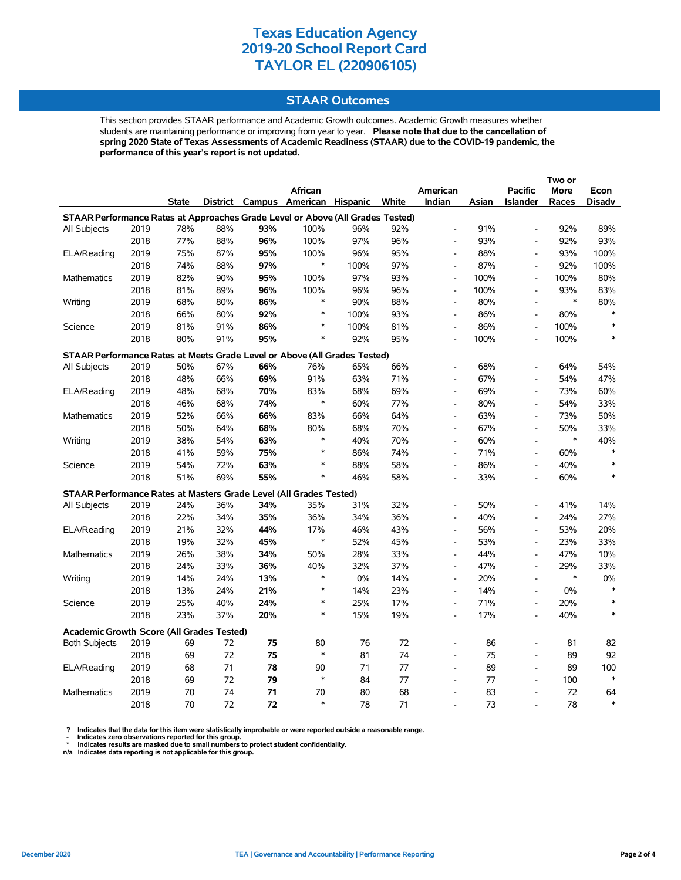### **STAAR Outcomes**

This section provides STAAR performance and Academic Growth outcomes. Academic Growth measures whether students are maintaining performance or improving from year to year. **Please note that due to the cancellation of spring 2020 State of Texas Assessments of Academic Readiness (STAAR) due to the COVID-19 pandemic, the performance of this year's report is not updated.**

|                                                                                |              |              |            |            |                                         |            |            |                                            |       |                                    | Two or      |            |
|--------------------------------------------------------------------------------|--------------|--------------|------------|------------|-----------------------------------------|------------|------------|--------------------------------------------|-------|------------------------------------|-------------|------------|
|                                                                                |              |              |            |            | African                                 |            |            | American                                   |       | <b>Pacific</b>                     | <b>More</b> | Econ       |
|                                                                                |              | <b>State</b> |            |            | District Campus American Hispanic White |            |            | Indian                                     | Asian | <b>Islander</b>                    | Races       | Disadv     |
| STAAR Performance Rates at Approaches Grade Level or Above (All Grades Tested) |              |              |            |            |                                         |            |            |                                            |       |                                    |             |            |
| All Subjects                                                                   | 2019         | 78%          | 88%        | 93%        | 100%                                    | 96%        | 92%        | $\overline{a}$                             | 91%   | $\overline{a}$                     | 92%         | 89%        |
|                                                                                | 2018         | 77%          | 88%        | 96%        | 100%                                    | 97%        | 96%        | $\qquad \qquad \blacksquare$               | 93%   | $\qquad \qquad \blacksquare$       | 92%         | 93%        |
| ELA/Reading                                                                    | 2019         | 75%          | 87%        | 95%        | 100%                                    | 96%        | 95%        | $\overline{a}$                             | 88%   | $\overline{a}$                     | 93%         | 100%       |
|                                                                                | 2018         | 74%          | 88%        | 97%        | $\ast$                                  | 100%       | 97%        | $\overline{\phantom{a}}$                   | 87%   | $\overline{a}$                     | 92%         | 100%       |
| Mathematics                                                                    | 2019         | 82%          | 90%        | 95%        | 100%                                    | 97%        | 93%        | $\overline{\phantom{a}}$                   | 100%  | $\qquad \qquad \blacksquare$       | 100%        | 80%        |
|                                                                                | 2018         | 81%          | 89%        | 96%        | 100%                                    | 96%        | 96%        | $\overline{\phantom{a}}$                   | 100%  | $\qquad \qquad \blacksquare$       | 93%         | 83%        |
| Writing                                                                        | 2019         | 68%          | 80%        | 86%        | $\ast$                                  | 90%        | 88%        | $\overline{\phantom{a}}$                   | 80%   | L,                                 | $\ast$      | 80%        |
|                                                                                | 2018         | 66%          | 80%        | 92%        | $\ast$                                  | 100%       | 93%        | $\overline{\phantom{a}}$                   | 86%   | $\overline{a}$                     | 80%         | $\ast$     |
| Science                                                                        | 2019         | 81%          | 91%        | 86%        | ∗                                       | 100%       | 81%        | $\qquad \qquad \blacksquare$               | 86%   | $\qquad \qquad \blacksquare$       | 100%        | $\ast$     |
|                                                                                | 2018         | 80%          | 91%        | 95%        | $\ast$                                  | 92%        | 95%        |                                            | 100%  | $\overline{a}$                     | 100%        | $\ast$     |
| STAAR Performance Rates at Meets Grade Level or Above (All Grades Tested)      |              |              |            |            |                                         |            |            |                                            |       |                                    |             |            |
| All Subjects                                                                   | 2019         | 50%          | 67%        | 66%        | 76%                                     | 65%        | 66%        | $\overline{\phantom{a}}$                   | 68%   | L,                                 | 64%         | 54%        |
|                                                                                | 2018         | 48%          | 66%        | 69%        | 91%                                     | 63%        | 71%        | $\overline{\phantom{a}}$                   | 67%   | $\overline{a}$                     | 54%         | 47%        |
| ELA/Reading                                                                    | 2019         | 48%          | 68%        | 70%        | 83%                                     | 68%        | 69%        | $\overline{\phantom{a}}$                   | 69%   | $\frac{1}{2}$                      | 73%         | 60%        |
|                                                                                | 2018         | 46%          | 68%        | 74%        | $\ast$                                  | 60%        | 77%        | $\overline{a}$                             | 80%   | $\overline{a}$                     | 54%         | 33%        |
| Mathematics                                                                    | 2019         | 52%          | 66%        | 66%        | 83%                                     | 66%        | 64%        | $\overline{\phantom{a}}$                   | 63%   | $\overline{a}$                     | 73%         | 50%        |
|                                                                                | 2018         | 50%          | 64%        | 68%        | 80%                                     | 68%        | 70%        | $\overline{\phantom{a}}$                   | 67%   | $\overline{\phantom{a}}$           | 50%         | 33%        |
| Writing                                                                        | 2019         | 38%          | 54%        | 63%        | $\ast$                                  | 40%        | 70%        | $\overline{\phantom{a}}$                   | 60%   | $\overline{\phantom{a}}$           | $\ast$      | 40%        |
|                                                                                | 2018         | 41%          | 59%        | 75%        | $\ast$                                  | 86%        | 74%        | $\overline{a}$                             | 71%   | $\blacksquare$                     | 60%         | $\ast$     |
| Science                                                                        | 2019         | 54%          | 72%        | 63%        | $\ast$                                  | 88%        | 58%        | $\overline{\phantom{a}}$                   | 86%   | $\overline{a}$                     | 40%         | $\ast$     |
|                                                                                | 2018         | 51%          | 69%        | 55%        | $\ast$                                  | 46%        | 58%        | $\overline{a}$                             | 33%   | $\overline{a}$                     | 60%         | $\ast$     |
|                                                                                |              |              |            |            |                                         |            |            |                                            |       |                                    |             |            |
| STAAR Performance Rates at Masters Grade Level (All Grades Tested)             |              |              |            |            |                                         |            |            |                                            | 50%   |                                    | 41%         | 14%        |
| All Subjects                                                                   | 2019<br>2018 | 24%<br>22%   | 36%<br>34% | 34%<br>35% | 35%<br>36%                              | 31%        | 32%<br>36% | $\overline{a}$<br>$\overline{\phantom{a}}$ | 40%   | $\qquad \qquad \blacksquare$<br>L, | 24%         | 27%        |
|                                                                                | 2019         |              |            | 44%        | 17%                                     | 34%        |            | $\overline{a}$                             | 56%   | $\frac{1}{2}$                      |             |            |
| ELA/Reading                                                                    | 2018         | 21%<br>19%   | 32%<br>32% | 45%        | $\ast$                                  | 46%        | 43%<br>45% | $\blacksquare$                             | 53%   | $\qquad \qquad \blacksquare$       | 53%<br>23%  | 20%<br>33% |
|                                                                                | 2019         | 26%          | 38%        | 34%        | 50%                                     | 52%<br>28% | 33%        | $\overline{a}$                             | 44%   | $\overline{a}$                     | 47%         | 10%        |
| Mathematics                                                                    | 2018         | 24%          | 33%        | 36%        | 40%                                     | 32%        | 37%        | $\qquad \qquad \blacksquare$               | 47%   | $\overline{a}$                     | 29%         | 33%        |
| Writing                                                                        | 2019         | 14%          | 24%        | 13%        | $\ast$                                  | 0%         | 14%        | $\overline{\phantom{a}}$                   | 20%   | $\qquad \qquad \blacksquare$       | $\ast$      | $0\%$      |
|                                                                                | 2018         | 13%          | 24%        | 21%        | ∗                                       | 14%        | 23%        | $\overline{\phantom{a}}$                   | 14%   | $\qquad \qquad \blacksquare$       | 0%          | $\ast$     |
| Science                                                                        | 2019         | 25%          | 40%        | 24%        | $\ast$                                  | 25%        | 17%        | $\overline{\phantom{a}}$                   | 71%   | $\overline{\phantom{0}}$           | 20%         | $\ast$     |
|                                                                                | 2018         | 23%          | 37%        | 20%        | $\ast$                                  | 15%        | 19%        | $\overline{a}$                             | 17%   | $\overline{a}$                     | 40%         | $\ast$     |
|                                                                                |              |              |            |            |                                         |            |            |                                            |       |                                    |             |            |
| <b>Academic Growth Score (All Grades Tested)</b>                               |              |              |            |            |                                         |            |            |                                            |       |                                    |             |            |
| <b>Both Subjects</b>                                                           | 2019         | 69           | 72         | 75         | 80                                      | 76         | 72         |                                            | 86    | $\overline{a}$                     | 81          | 82         |
|                                                                                | 2018         | 69           | 72         | 75         | $\ast$                                  | 81         | 74         | $\overline{a}$                             | 75    | $\overline{a}$                     | 89          | 92         |
| ELA/Reading                                                                    | 2019         | 68           | 71         | 78         | 90                                      | 71         | 77         | $\overline{a}$                             | 89    | $\overline{a}$                     | 89          | 100        |
|                                                                                | 2018         | 69           | 72         | 79         | $\ast$                                  | 84         | 77         | $\overline{\phantom{a}}$                   | 77    | $\overline{a}$                     | 100         | $\ast$     |
| Mathematics                                                                    | 2019         | 70           | 74         | 71         | 70                                      | 80         | 68         | $\overline{\phantom{a}}$                   | 83    | $\overline{a}$                     | 72          | 64         |
|                                                                                | 2018         | 70           | 72         | 72         | $\ast$                                  | 78         | 71         |                                            | 73    |                                    | 78          | $\ast$     |

? Indicates that the data for this item were statistically improbable or were reported outside a reasonable range.<br>- Indicates zero observations reported for this group.<br>\* Indicates results are masked due to small numbers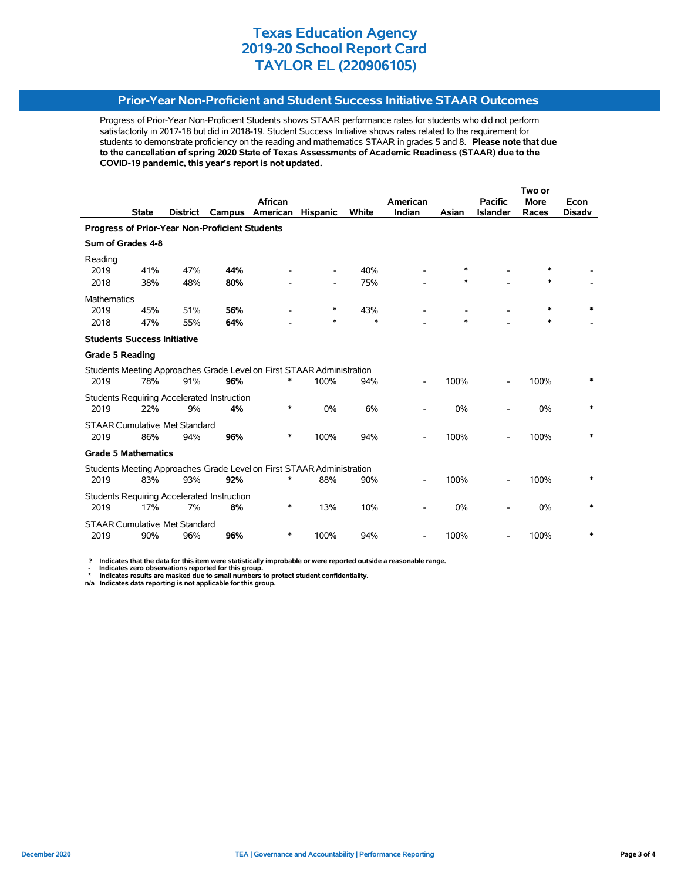### **Prior-Year Non-Proficient and Student Success Initiative STAAR Outcomes**

Progress of Prior-Year Non-Proficient Students shows STAAR performance rates for students who did not perform satisfactorily in 2017-18 but did in 2018-19. Student Success Initiative shows rates related to the requirement for students to demonstrate proficiency on the reading and mathematics STAAR in grades 5 and 8. **Please note that due to the cancellation of spring 2020 State of Texas Assessments of Academic Readiness (STAAR) due to the COVID-19 pandemic, this year's report is not updated.**

|                                                |              |                                             |                                                         |                                                                            |                 |              |          |        |                 | Two or |        |
|------------------------------------------------|--------------|---------------------------------------------|---------------------------------------------------------|----------------------------------------------------------------------------|-----------------|--------------|----------|--------|-----------------|--------|--------|
|                                                |              |                                             |                                                         | African                                                                    |                 |              | American |        | <b>Pacific</b>  | More   | Econ   |
|                                                | <b>State</b> | <b>District</b>                             | Campus                                                  | American                                                                   | <b>Hispanic</b> | <b>White</b> | Indian   | Asian  | <b>Islander</b> | Races  | Disadv |
| Progress of Prior-Year Non-Proficient Students |              |                                             |                                                         |                                                                            |                 |              |          |        |                 |        |        |
| Sum of Grades 4-8                              |              |                                             |                                                         |                                                                            |                 |              |          |        |                 |        |        |
| Reading<br>2019                                | 41%          | 47%                                         | 44%                                                     |                                                                            |                 | 40%          |          | $\ast$ |                 | $\ast$ |        |
| 2018                                           | 38%          | 48%                                         | 80%                                                     |                                                                            |                 | 75%          |          | *      |                 | *      |        |
| Mathematics                                    |              |                                             |                                                         |                                                                            |                 |              |          |        |                 |        |        |
| 2019                                           | 45%          | 51%                                         | 56%                                                     |                                                                            | ∗               | 43%          |          |        |                 | *      |        |
| 2018                                           | 47%          | 55%                                         | 64%                                                     |                                                                            | *               | $\ast$       |          | $\ast$ |                 | *      |        |
| <b>Students Success Initiative</b>             |              |                                             |                                                         |                                                                            |                 |              |          |        |                 |        |        |
| <b>Grade 5 Reading</b>                         |              |                                             |                                                         |                                                                            |                 |              |          |        |                 |        |        |
| 2019                                           | 78%          | 91%                                         | 96%                                                     | Students Meeting Approaches Grade Level on First STAAR Administration<br>* | 100%            | 94%          |          | 100%   |                 | 100%   |        |
| 2019                                           | 22%          | 9%                                          | Students Requiring Accelerated Instruction<br>4%        | *                                                                          | 0%              | 6%           |          | 0%     |                 | 0%     | $\ast$ |
| 2019                                           | 86%          | <b>STAAR Cumulative Met Standard</b><br>94% | 96%                                                     | *                                                                          | 100%            | 94%          |          | 100%   |                 | 100%   | $\ast$ |
| <b>Grade 5 Mathematics</b>                     |              |                                             |                                                         |                                                                            |                 |              |          |        |                 |        |        |
|                                                |              |                                             |                                                         | Students Meeting Approaches Grade Level on First STAAR Administration<br>* |                 |              |          |        |                 |        |        |
| 2019                                           | 83%          | 93%                                         | 92%                                                     |                                                                            | 88%             | 90%          |          | 100%   |                 | 100%   |        |
| 2019                                           | 17%          | 7%                                          | <b>Students Requiring Accelerated Instruction</b><br>8% | *                                                                          | 13%             | 10%          |          | 0%     |                 | 0%     | *      |
| 2019                                           | 90%          | <b>STAAR Cumulative Met Standard</b><br>96% | 96%                                                     | *                                                                          | 100%            | 94%          |          | 100%   |                 | 100%   | *      |

 **? Indicates that the data for this item were statistically improbable or were reported outside a reasonable range.**

 **- Indicates zero observations reported for this group. \* Indicates results are masked due to small numbers to protect student confidentiality.**

**n/a Indicates data reporting is not applicable for this group.**